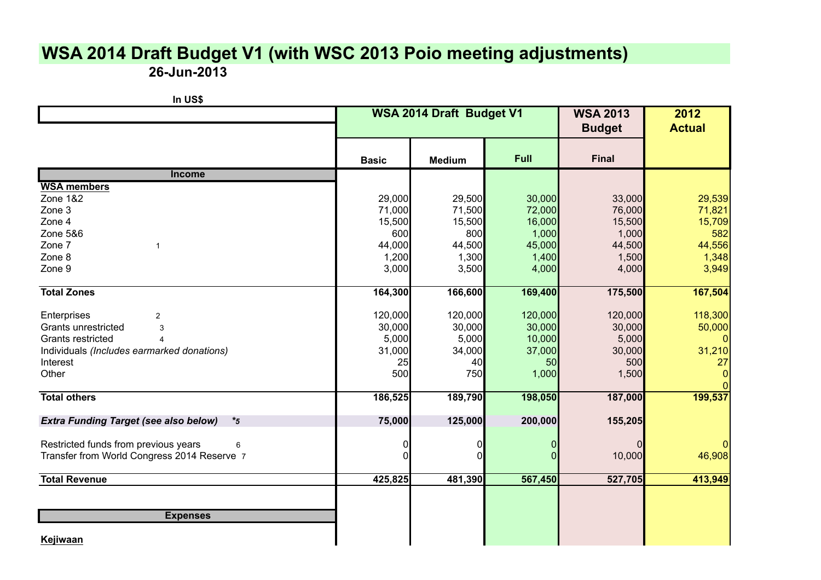## **WSA 2014 Draft Budget V1 (with WSC 2013 Poio meeting adjustments)**

**26-Jun-2013**

| In US\$                                                 |              |                          |         |              |               |
|---------------------------------------------------------|--------------|--------------------------|---------|--------------|---------------|
|                                                         |              | WSA 2014 Draft Budget V1 |         |              | 2012          |
|                                                         |              |                          |         |              | <b>Actual</b> |
|                                                         |              |                          |         |              |               |
|                                                         | <b>Basic</b> | <b>Medium</b>            | Full    | <b>Final</b> |               |
| Income                                                  |              |                          |         |              |               |
| <b>WSA members</b>                                      |              |                          |         |              |               |
| <b>Zone 1&amp;2</b>                                     | 29,000       | 29,500                   | 30,000  | 33,000       | 29,539        |
| Zone 3                                                  | 71,000       | 71,500                   | 72,000  | 76,000       | 71,821        |
| Zone 4                                                  | 15,500       | 15,500                   | 16,000  | 15,500       | 15,709        |
| Zone 5&6                                                | 600          | 800                      | 1,000   | 1,000        | 582           |
| Zone 7                                                  | 44,000       | 44,500                   | 45,000  | 44,500       | 44,556        |
| Zone 8                                                  | 1,200        | 1,300                    | 1,400   | 1,500        | 1,348         |
| Zone 9                                                  | 3,000        | 3,500                    | 4,000   | 4,000        | 3,949         |
| <b>Total Zones</b>                                      | 164,300      | 166,600                  | 169,400 | 175,500      | 167,504       |
| Enterprises<br>$\overline{2}$                           | 120,000      | 120,000                  | 120,000 | 120,000      | 118,300       |
| Grants unrestricted<br>3                                | 30,000       | 30,000                   | 30,000  | 30,000       | 50,000        |
| Grants restricted<br>4                                  | 5,000        | 5,000                    | 10,000  | 5,000        |               |
| Individuals (Includes earmarked donations)              | 31,000       | 34,000                   | 37,000  | 30,000       | 31,210        |
| Interest                                                | 25           | 40                       | 50      | 500          | 27            |
| Other                                                   | 500          | 750                      | 1,000   | 1,500        |               |
| <b>Total others</b>                                     | 186,525      | 189,790                  | 198,050 | 187,000      | 199,537       |
| <b>Extra Funding Target (see also below)</b><br>$*_{5}$ | 75,000       | 125,000                  | 200,000 | 155,205      |               |
| Restricted funds from previous years<br>6               |              |                          |         |              |               |
| Transfer from World Congress 2014 Reserve 7             |              |                          |         | 10,000       | 46,908        |
| <b>Total Revenue</b>                                    | 425,825      | 481,390                  | 567,450 | 527,705      | 413,949       |
|                                                         |              |                          |         |              |               |
| <b>Expenses</b>                                         |              |                          |         |              |               |
| Kejiwaan                                                |              |                          |         |              |               |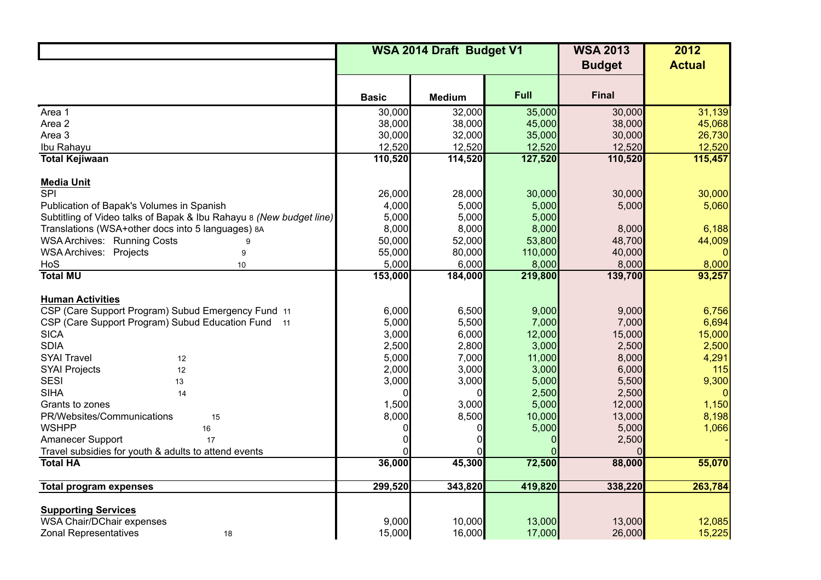|                                                                     | WSA 2014 Draft Budget V1 |               |         | <b>WSA 2013</b> | 2012          |
|---------------------------------------------------------------------|--------------------------|---------------|---------|-----------------|---------------|
|                                                                     |                          |               |         | <b>Budget</b>   | <b>Actual</b> |
|                                                                     |                          |               |         |                 |               |
|                                                                     | <b>Basic</b>             | <b>Medium</b> | Full    | <b>Final</b>    |               |
| Area 1                                                              | 30,000                   | 32,000        | 35,000  | 30,000          | 31,139        |
| Area 2                                                              | 38,000                   | 38,000        | 45,000  | 38,000          | 45,068        |
| Area 3                                                              | 30,000                   | 32,000        | 35,000  | 30,000          | 26,730        |
| Ibu Rahayu                                                          | 12,520                   | 12,520        | 12,520  | 12,520          | 12,520        |
| <b>Total Kejiwaan</b>                                               | 110,520                  | 114,520       | 127,520 | 110,520         | 115,457       |
| <b>Media Unit</b>                                                   |                          |               |         |                 |               |
| $\overline{\text{SPI}}$                                             | 26,000                   | 28,000        | 30,000  | 30,000          | 30,000        |
| Publication of Bapak's Volumes in Spanish                           | 4,000                    | 5,000         | 5,000   | 5,000           | 5,060         |
| Subtitling of Video talks of Bapak & Ibu Rahayu 8 (New budget line) | 5,000                    | 5,000         | 5,000   |                 |               |
| Translations (WSA+other docs into 5 languages) 8A                   | 8,000                    | 8,000         | 8,000   | 8,000           | 6,188         |
| <b>WSA Archives: Running Costs</b>                                  | 50,000                   | 52,000        | 53,800  | 48,700          | 44,009        |
| <b>WSA Archives: Projects</b><br>9                                  | 55,000                   | 80,000        | 110,000 | 40,000          |               |
| HoS<br>10                                                           | 5,000                    | 6,000         | 8,000   | 8,000           | 8,000         |
| <b>Total MU</b>                                                     | 153,000                  | 184,000       | 219,800 | 139,700         | 93,257        |
|                                                                     |                          |               |         |                 |               |
| <b>Human Activities</b>                                             |                          |               |         |                 |               |
| CSP (Care Support Program) Subud Emergency Fund 11                  | 6,000                    | 6,500         | 9,000   | 9,000           | 6,756         |
| CSP (Care Support Program) Subud Education Fund 11                  | 5,000                    | 5,500         | 7,000   | 7,000           | 6,694         |
| <b>SICA</b>                                                         | 3,000                    | 6,000         | 12,000  | 15,000          | 15,000        |
| <b>SDIA</b>                                                         | 2,500                    | 2,800         | 3,000   | 2,500           | 2,500         |
| <b>SYAI Travel</b><br>12                                            | 5,000                    | 7,000         | 11,000  | 8,000           | 4,291         |
| <b>SYAI Projects</b><br>12                                          | 2,000                    | 3,000         | 3,000   | 6,000           | 115           |
| <b>SESI</b><br>13                                                   | 3,000                    | 3,000         | 5,000   | 5,500           | 9,300         |
| <b>SIHA</b><br>14                                                   |                          |               | 2,500   | 2,500           |               |
| Grants to zones                                                     | 1,500                    | 3,000         | 5,000   | 12,000          | 1,150         |
| PR/Websites/Communications<br>15                                    | 8,000                    | 8,500         | 10,000  | 13,000          | 8,198         |
| <b>WSHPP</b><br>16                                                  |                          | 0             | 5,000   | 5,000           | 1,066         |
| Amanecer Support<br>17                                              |                          |               |         | 2,500           |               |
| Travel subsidies for youth & adults to attend events                |                          |               |         |                 |               |
| <b>Total HA</b>                                                     | 36,000                   | 45,300        | 72,500  | 88,000          | 55,070        |
| <b>Total program expenses</b>                                       | 299,520                  | 343,820       | 419,820 | 338,220         | 263,784       |
|                                                                     |                          |               |         |                 |               |
| <b>Supporting Services</b>                                          |                          |               |         |                 |               |
| <b>WSA Chair/DChair expenses</b>                                    | 9,000                    | 10,000        | 13,000  | 13,000          | 12,085        |
| <b>Zonal Representatives</b><br>18                                  | 15,000                   | 16,000        | 17,000  | 26,000          | 15,225        |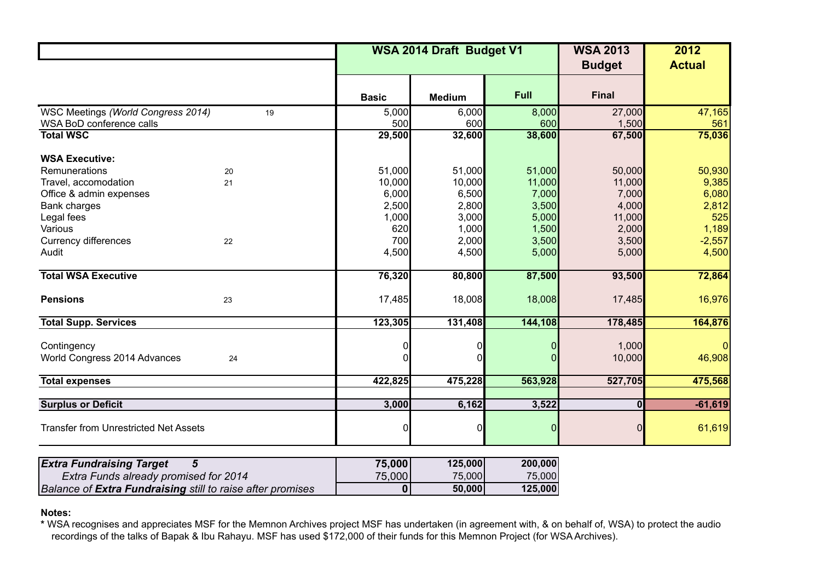|                                                   |              | WSA 2014 Draft Budget V1 |         |                 | 2012<br><b>Actual</b> |
|---------------------------------------------------|--------------|--------------------------|---------|-----------------|-----------------------|
|                                                   | <b>Basic</b> | <b>Medium</b>            | Full    | <b>Final</b>    |                       |
| WSC Meetings (World Congress 2014)<br>19          | 5,000        | 6,000                    | 8,000   | 27,000          | 47,165                |
| WSA BoD conference calls                          | 500          | 600                      | 600     | 1,500           | 561                   |
| <b>Total WSC</b>                                  | 29,500       | 32,600                   | 38,600  | 67,500          | 75,036                |
| <b>WSA Executive:</b>                             |              |                          |         |                 |                       |
| Remunerations<br>20                               | 51,000       | 51,000                   | 51,000  | 50,000          | 50,930                |
| Travel, accomodation<br>21                        | 10,000       | 10,000                   | 11,000  | 11,000          | 9,385                 |
| Office & admin expenses                           | 6,000        | 6,500                    | 7,000   | 7,000           | 6,080                 |
| Bank charges                                      | 2,500        | 2,800                    | 3,500   | 4,000           | 2,812                 |
| Legal fees                                        | 1,000        | 3,000                    | 5,000   | 11,000          | 525                   |
| Various                                           | 620          | 1,000                    | 1,500   | 2,000           | 1,189                 |
| <b>Currency differences</b><br>22                 | 700          | 2,000                    | 3,500   | 3,500           | $-2,557$              |
| Audit                                             | 4,500        | 4,500                    | 5,000   | 5,000           | 4,500                 |
| <b>Total WSA Executive</b>                        | 76,320       | 80,800                   | 87,500  | 93,500          | 72,864                |
| <b>Pensions</b><br>23                             | 17,485       | 18,008                   | 18,008  | 17,485          | 16,976                |
| <b>Total Supp. Services</b>                       | 123,305      | 131,408                  | 144,108 | 178,485         | 164,876               |
| Contingency<br>World Congress 2014 Advances<br>24 |              | 0<br>0                   |         | 1,000<br>10,000 | 46,908                |
| <b>Total expenses</b>                             | 422,825      | 475,228                  | 563,928 | 527,705         | 475,568               |
| <b>Surplus or Deficit</b>                         | 3,000        | 6,162                    | 3,522   | $\bf{0}$        | $-61,619$             |
| <b>Transfer from Unrestricted Net Assets</b>      | 0            | $\overline{0}$           | 0       | 0               | 61,619                |
| $\overline{5}$<br><b>Extra Fundraising Target</b> | 75,000       | 125,000                  | 200,000 |                 |                       |

| <b>Extra Funds already promised for 2014</b>                      | 75,000 | 75,000 | 75,000  |
|-------------------------------------------------------------------|--------|--------|---------|
| <b>Balance of Extra Fundraising still to raise after promises</b> |        | 50,000 | 125,000 |

## **Notes:**

**\*** WSA recognises and appreciates MSF for the Memnon Archives project MSF has undertaken (in agreement with, & on behalf of, WSA) to protect the audio recordings of the talks of Bapak & Ibu Rahayu. MSF has used \$172,000 of their funds for this Memnon Project (for WSA Archives).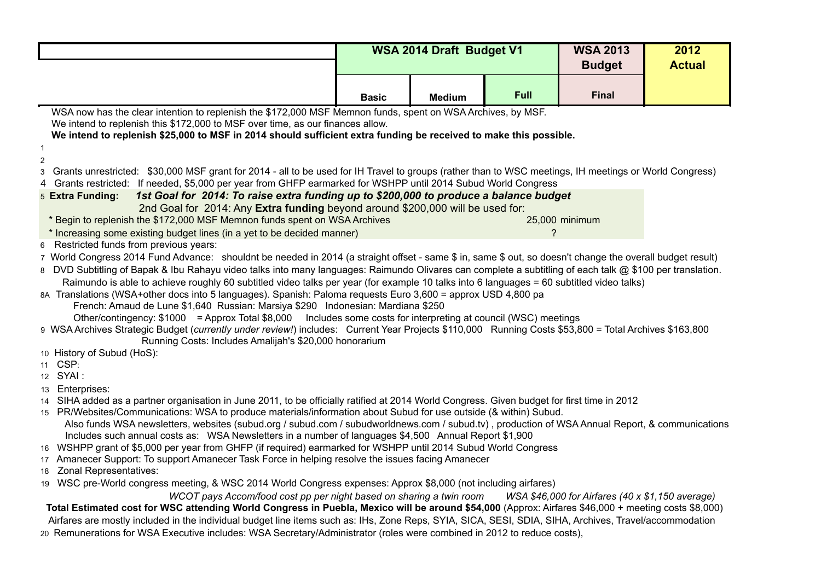|                                                                                                                                                                                                                                                                          | WSA 2014 Draft Budget V1 |               |               | <b>WSA 2013</b>                                        | 2012 |  |  |
|--------------------------------------------------------------------------------------------------------------------------------------------------------------------------------------------------------------------------------------------------------------------------|--------------------------|---------------|---------------|--------------------------------------------------------|------|--|--|
|                                                                                                                                                                                                                                                                          |                          |               | <b>Budget</b> | <b>Actual</b>                                          |      |  |  |
|                                                                                                                                                                                                                                                                          | <b>Basic</b>             | <b>Medium</b> | Full          | <b>Final</b>                                           |      |  |  |
| WSA now has the clear intention to replenish the \$172,000 MSF Memnon funds, spent on WSA Archives, by MSF.                                                                                                                                                              |                          |               |               |                                                        |      |  |  |
| We intend to replenish this \$172,000 to MSF over time, as our finances allow.<br>We intend to replenish \$25,000 to MSF in 2014 should sufficient extra funding be received to make this possible.                                                                      |                          |               |               |                                                        |      |  |  |
| $\overline{1}$                                                                                                                                                                                                                                                           |                          |               |               |                                                        |      |  |  |
| $\overline{2}$                                                                                                                                                                                                                                                           |                          |               |               |                                                        |      |  |  |
| Grants unrestricted: \$30,000 MSF grant for 2014 - all to be used for IH Travel to groups (rather than to WSC meetings, IH meetings or World Congress)<br>3                                                                                                              |                          |               |               |                                                        |      |  |  |
| Grants restricted: If needed, \$5,000 per year from GHFP earmarked for WSHPP until 2014 Subud World Congress                                                                                                                                                             |                          |               |               |                                                        |      |  |  |
| 1st Goal for 2014: To raise extra funding up to \$200,000 to produce a balance budget<br>5 Extra Funding:                                                                                                                                                                |                          |               |               |                                                        |      |  |  |
| 2nd Goal for 2014: Any Extra funding beyond around \$200,000 will be used for:<br>* Begin to replenish the \$172,000 MSF Memnon funds spent on WSA Archives                                                                                                              |                          |               |               | 25,000 minimum                                         |      |  |  |
| * Increasing some existing budget lines (in a yet to be decided manner)                                                                                                                                                                                                  |                          |               | ?             |                                                        |      |  |  |
| Restricted funds from previous years:<br>6                                                                                                                                                                                                                               |                          |               |               |                                                        |      |  |  |
| 7 World Congress 2014 Fund Advance: shouldnt be needed in 2014 (a straight offset - same \$ in, same \$ out, so doesn't change the overall budget result)                                                                                                                |                          |               |               |                                                        |      |  |  |
| 8 DVD Subtitling of Bapak & Ibu Rahayu video talks into many languages: Raimundo Olivares can complete a subtitling of each talk @ \$100 per translation.                                                                                                                |                          |               |               |                                                        |      |  |  |
| Raimundo is able to achieve roughly 60 subtitled video talks per year (for example 10 talks into 6 languages = 60 subtitled video talks)                                                                                                                                 |                          |               |               |                                                        |      |  |  |
| 8A Translations (WSA+other docs into 5 languages). Spanish: Paloma requests Euro 3,600 = approx USD 4,800 pa                                                                                                                                                             |                          |               |               |                                                        |      |  |  |
| French: Arnaud de Lune \$1,640 Russian: Marsiya \$290 Indonesian: Mardiana \$250                                                                                                                                                                                         |                          |               |               |                                                        |      |  |  |
| Other/contingency: \$1000 = Approx Total \$8,000 Includes some costs for interpreting at council (WSC) meetings<br>9 WSA Archives Strategic Budget (currently under review!) includes: Current Year Projects \$110,000 Running Costs \$53,800 = Total Archives \$163,800 |                          |               |               |                                                        |      |  |  |
| Running Costs: Includes Amalijah's \$20,000 honorarium                                                                                                                                                                                                                   |                          |               |               |                                                        |      |  |  |
| 10 History of Subud (HoS):                                                                                                                                                                                                                                               |                          |               |               |                                                        |      |  |  |
| 11 CSP:                                                                                                                                                                                                                                                                  |                          |               |               |                                                        |      |  |  |
| 12 SYAI :                                                                                                                                                                                                                                                                |                          |               |               |                                                        |      |  |  |
| 13 Enterprises:                                                                                                                                                                                                                                                          |                          |               |               |                                                        |      |  |  |
| 14 SIHA added as a partner organisation in June 2011, to be officially ratified at 2014 World Congress. Given budget for first time in 2012<br>15 PR/Websites/Communications: WSA to produce materials/information about Subud for use outside (& within) Subud.         |                          |               |               |                                                        |      |  |  |
| Also funds WSA newsletters, websites (subud.org / subud.com / subudworldnews.com / subud.tv), production of WSA Annual Report, & communications                                                                                                                          |                          |               |               |                                                        |      |  |  |
| Includes such annual costs as: WSA Newsletters in a number of languages \$4,500 Annual Report \$1,900                                                                                                                                                                    |                          |               |               |                                                        |      |  |  |
| 16 WSHPP grant of \$5,000 per year from GHFP (if required) earmarked for WSHPP until 2014 Subud World Congress                                                                                                                                                           |                          |               |               |                                                        |      |  |  |
| 17 Amanecer Support: To support Amanecer Task Force in helping resolve the issues facing Amanecer                                                                                                                                                                        |                          |               |               |                                                        |      |  |  |
| 18 Zonal Representatives:                                                                                                                                                                                                                                                |                          |               |               |                                                        |      |  |  |
| 19 WSC pre-World congress meeting, & WSC 2014 World Congress expenses: Approx \$8,000 (not including airfares)                                                                                                                                                           |                          |               |               |                                                        |      |  |  |
| WCOT pays Accom/food cost pp per night based on sharing a twin room<br>Total Estimated cost for WSC attending World Congress in Puebla, Mexico will be around \$54,000 (Approx: Airfares \$46,000 + meeting costs \$8,000)                                               |                          |               |               | WSA \$46,000 for Airfares $(40 \times $1,150$ average) |      |  |  |
| Airfares are mostly included in the individual budget line items such as: IHs, Zone Reps, SYIA, SICA, SESI, SDIA, SIHA, Archives, Travel/accommodation                                                                                                                   |                          |               |               |                                                        |      |  |  |
| 20 Remunerations for WSA Executive includes: WSA Secretary/Administrator (roles were combined in 2012 to reduce costs),                                                                                                                                                  |                          |               |               |                                                        |      |  |  |